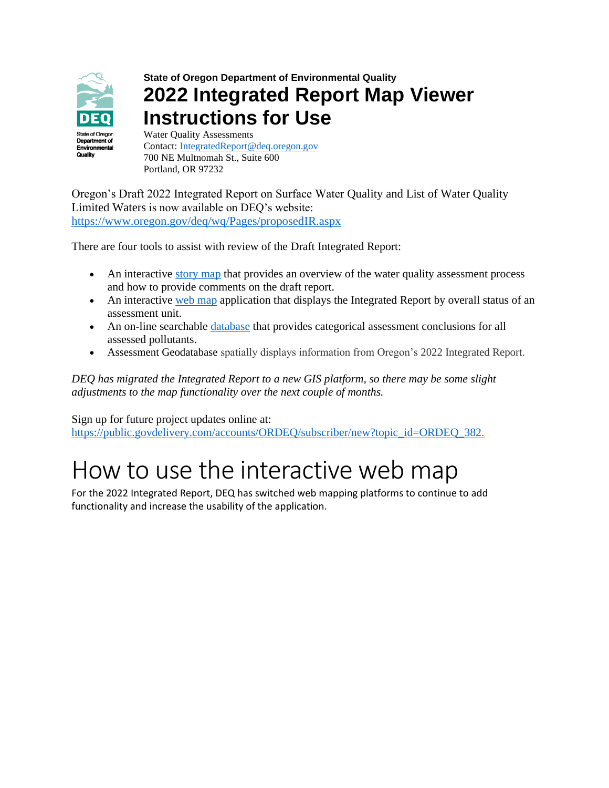

### **State of Oregon Department of Environmental Quality 2022 Integrated Report Map Viewer Instructions for Use**

Water Quality Assessments Contact: [IntegratedReport@deq.oregon.gov](file://///deqhq1/WQASSESSMENT/2022IRFiles/Communications/IntegratedReport@deq.oregon.gov) 700 NE Multnomah St., Suite 600 Portland, OR 97232

Oregon's Draft 2022 Integrated Report on Surface Water Quality and List of Water Quality Limited Waters is now available on DEQ's website: <https://www.oregon.gov/deq/wq/Pages/proposedIR.aspx>

There are four tools to assist with review of the Draft Integrated Report:

- An interactive [story map](https://storymaps.arcgis.com/stories/803c45efd676422ab655eb9966e4566c) that provides an overview of the water quality assessment process and how to provide comments on the draft report.
- An interactive [web map](https://geo.maps.arcgis.com/apps/webappviewer/index.html?id=e8af23efa28b44f39355008e8e9c784b) application that displays the Integrated Report by overall status of an assessment unit.
- An on-line searchable [database](https://rstudioconnect.deq.state.or.us/content/0a964958-6ad4-49a4-aca0-54a644b96357/) that provides categorical assessment conclusions for all assessed pollutants.
- Assessment Geodatabase spatially displays information from Oregon's 2022 Integrated Report.

*DEQ has migrated the Integrated Report to a new GIS platform, so there may be some slight adjustments to the map functionality over the next couple of months.*

Sign up for future project updates online at:

[https://public.govdelivery.com/accounts/ORDEQ/subscriber/new?topic\\_id=ORDEQ\\_382.](https://public.govdelivery.com/accounts/ORDEQ/subscriber/new?topic_id=ORDEQ_382.)

## How to use the interactive web map

For the 2022 Integrated Report, DEQ has switched web mapping platforms to continue to add functionality and increase the usability of the application.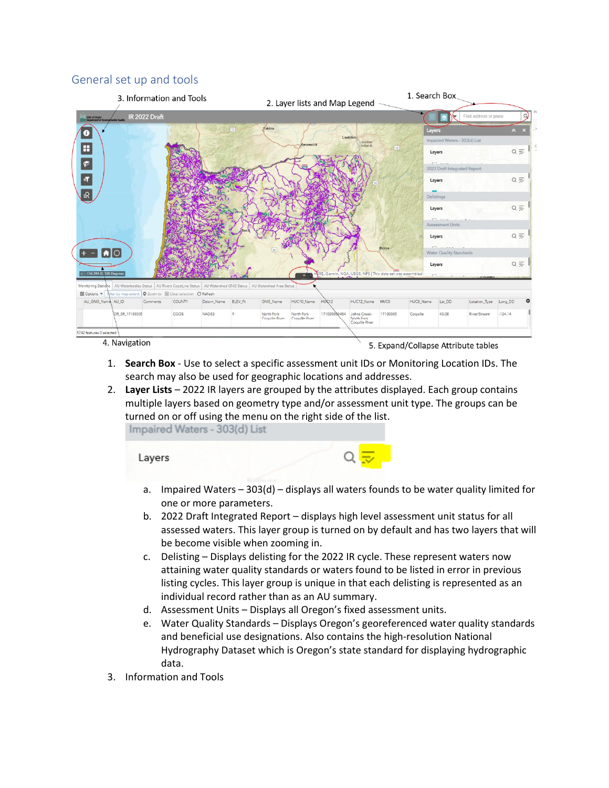#### General set up and tools



- 1. **Search Box** Use to select a specific assessment unit IDs or Monitoring Location IDs. The search may also be used for geographic locations and addresses.
- 2. **Layer Lists** 2022 IR layers are grouped by the attributes displayed. Each group contains multiple layers based on geometry type and/or assessment unit type. The groups can be turned on or off using the menu on the right side of the list. Impaired Waters - 303(d) List

Layers

- a. Impaired Waters 303(d) displays all waters founds to be water quality limited for one or more parameters.
- b. 2022 Draft Integrated Report displays high level assessment unit status for all assessed waters. This layer group is turned on by default and has two layers that will be become visible when zooming in.
- c. Delisting Displays delisting for the 2022 IR cycle. These represent waters now attaining water quality standards or waters found to be listed in error in previous listing cycles. This layer group is unique in that each delisting is represented as an individual record rather than as an AU summary.
- d. Assessment Units Displays all Oregon's fixed assessment units.
- e. Water Quality Standards Displays Oregon's georeferenced water quality standards and beneficial use designations. Also contains the high-resolution National Hydrography Dataset which is Oregon's state standard for displaying hydrographic data.
- 3. Information and Tools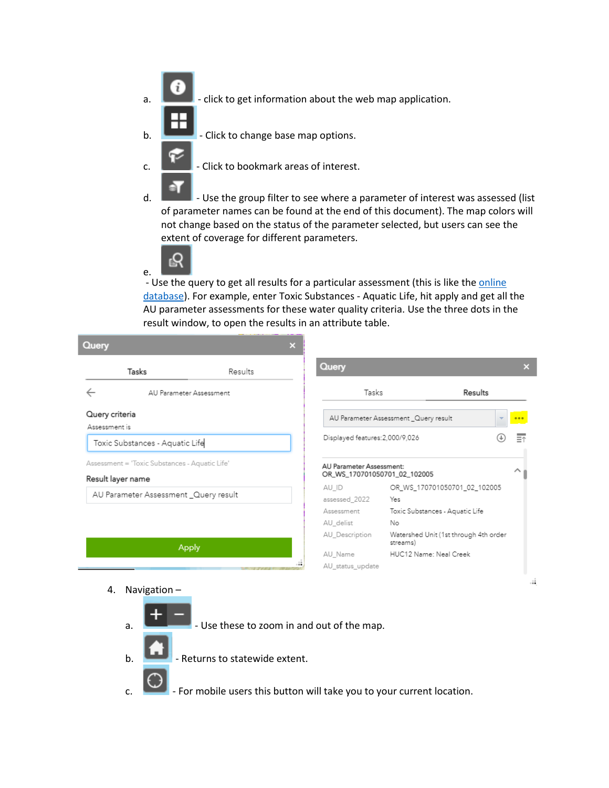- a.  $\Box$  click to get information about the web map application.
- $b.$  Click to change base map options.
- c.  $\Box$  Click to bookmark areas of interest.
- d.  $\Box$  Use the group filter to see where a parameter of interest was assessed (list of parameter names can be found at the end of this document). The map colors will not change based on the status of the parameter selected, but users can see the extent of coverage for different parameters.



- Use the query to get all results for a particular assessment (this is like th[e online](https://rstudioconnect.deq.state.or.us/content/0a964958-6ad4-49a4-aca0-54a644b96357/)  [database\)](https://rstudioconnect.deq.state.or.us/content/0a964958-6ad4-49a4-aca0-54a644b96357/). For example, enter Toxic Substances - Aquatic Life, hit apply and get all the AU parameter assessments for these water quality criteria. Use the three dots in the result window, to open the results in an attribute table.

| Query                                                               |         | × |                                                          |                                                   |         |     |
|---------------------------------------------------------------------|---------|---|----------------------------------------------------------|---------------------------------------------------|---------|-----|
| Tasks                                                               | Results |   | Query                                                    |                                                   |         | ×   |
| AU Parameter Assessment                                             |         |   | Tasks                                                    |                                                   | Results |     |
|                                                                     |         |   |                                                          | AU Parameter Assessment _Query result             |         | 000 |
| Toxic Substances - Aquatic Life                                     |         |   | Displayed features: 2,000/9,026                          |                                                   |         | 三个  |
| Assessment = 'Toxic Substances - Aquatic Life'<br>Result layer name |         |   | AU Parameter Assessment:<br>OR_WS_170701050701_02_102005 |                                                   |         | ㅅ   |
| AU Parameter Assessment _Query result                               |         |   | AU_ID<br>assessed_2022                                   | OR_WS_170701050701_02_102005<br>Yes               |         |     |
|                                                                     |         |   | Assessment<br>AU delist                                  | Toxic Substances - Aquatic Life<br>No             |         |     |
|                                                                     |         |   | AU Description                                           | Watershed Unit (1st through 4th order<br>streams) |         |     |
| Apply                                                               |         |   | AU Name<br>AU_status_update                              | HUC12 Name: Neal Creek                            |         |     |
|                                                                     |         |   |                                                          |                                                   |         | .18 |

- 4. Navigation
	- $\overline{a}$ .  $\overline{a}$  Use these to zoom in and out of the map.
	- $\mathbf{b}$ .  $\mathbf{b}$  Returns to statewide extent.
	- $\mathsf{c}$ .  $\blacksquare$  For mobile users this button will take you to your current location.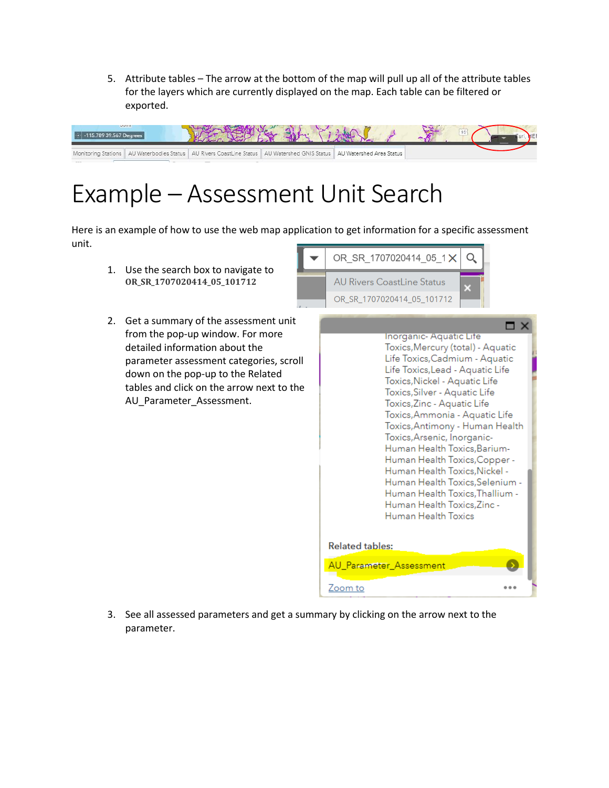5. Attribute tables – The arrow at the bottom of the map will pull up all of the attribute tables for the layers which are currently displayed on the map. Each table can be filtered or exported.



# Example – Assessment Unit Search

Here is an example of how to use the web map application to get information for a specific assessment unit.

- 1. Use the search box to navigate to **OR\_SR\_1707020414\_05\_101712**
- 2. Get a summary of the assessment unit from the pop-up window. For more detailed information about the parameter assessment categories, scroll down on the pop-up to the Related tables and click on the arrow next to the AU Parameter Assessment.





3. See all assessed parameters and get a summary by clicking on the arrow next to the parameter.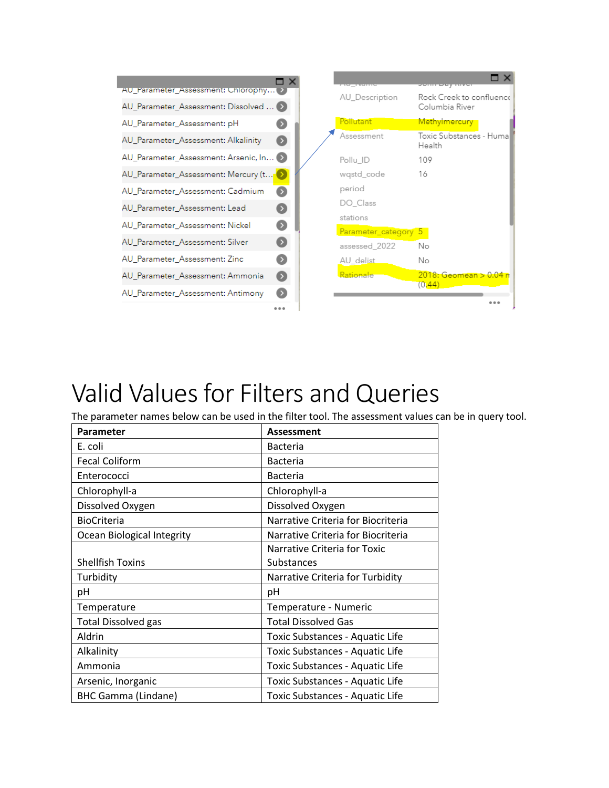|                                         |                  | <u>Ave produc</u>    | <u>סטוחו פעץ ומעס</u>                |
|-----------------------------------------|------------------|----------------------|--------------------------------------|
| AU_Parameter_Assessment: Chlorophy >    |                  | AU Description       | Rock Creek to confluence             |
| AU_Parameter_Assessment: Dissolved  (>) |                  |                      | Columbia River                       |
| AU_Parameter_Assessment: pH             |                  | Pollutant            | Methylmercury                        |
| AU_Parameter_Assessment: Alkalinity     |                  | Assessment           | Toxic Substances - Huma<br>Health    |
| AU_Parameter_Assessment: Arsenic, In (> |                  | Pollu ID             | 109                                  |
| AU_Parameter_Assessment: Mercury (t     |                  | wqstd_code           | 16                                   |
| AU_Parameter_Assessment: Cadmium        |                  | period               |                                      |
| AU_Parameter_Assessment: Lead           |                  | DO Class             |                                      |
| AU_Parameter_Assessment: Nickel         |                  | stations             |                                      |
| AU Parameter Assessment: Silver         |                  | Parameter_category 5 |                                      |
|                                         |                  | assessed 2022        | Νo                                   |
| AU Parameter Assessment: Zinc           |                  | AU delist            | Νo                                   |
| AU_Parameter_Assessment: Ammonia        | $\triangleright$ | Rationale            | $2018:$ Geomean $> 0.04$ n<br>(0.44) |
| AU_Parameter_Assessment: Antimony       |                  |                      |                                      |
|                                         |                  |                      |                                      |

## Valid Values for Filters and Queries

The parameter names below can be used in the filter tool. The assessment values can be in query tool.

| Parameter                  | <b>Assessment</b>                  |
|----------------------------|------------------------------------|
| E. coli                    | <b>Bacteria</b>                    |
| <b>Fecal Coliform</b>      | <b>Bacteria</b>                    |
| Enterococci                | <b>Bacteria</b>                    |
| Chlorophyll-a              | Chlorophyll-a                      |
| Dissolved Oxygen           | Dissolved Oxygen                   |
| <b>BioCriteria</b>         | Narrative Criteria for Biocriteria |
| Ocean Biological Integrity | Narrative Criteria for Biocriteria |
|                            | Narrative Criteria for Toxic       |
| <b>Shellfish Toxins</b>    | Substances                         |
| Turbidity                  | Narrative Criteria for Turbidity   |
| рH                         | рH                                 |
| Temperature                | Temperature - Numeric              |
| <b>Total Dissolved gas</b> | <b>Total Dissolved Gas</b>         |
| Aldrin                     | Toxic Substances - Aquatic Life    |
| Alkalinity                 | Toxic Substances - Aquatic Life    |
| Ammonia                    | Toxic Substances - Aquatic Life    |
| Arsenic, Inorganic         | Toxic Substances - Aquatic Life    |
| <b>BHC Gamma (Lindane)</b> | Toxic Substances - Aquatic Life    |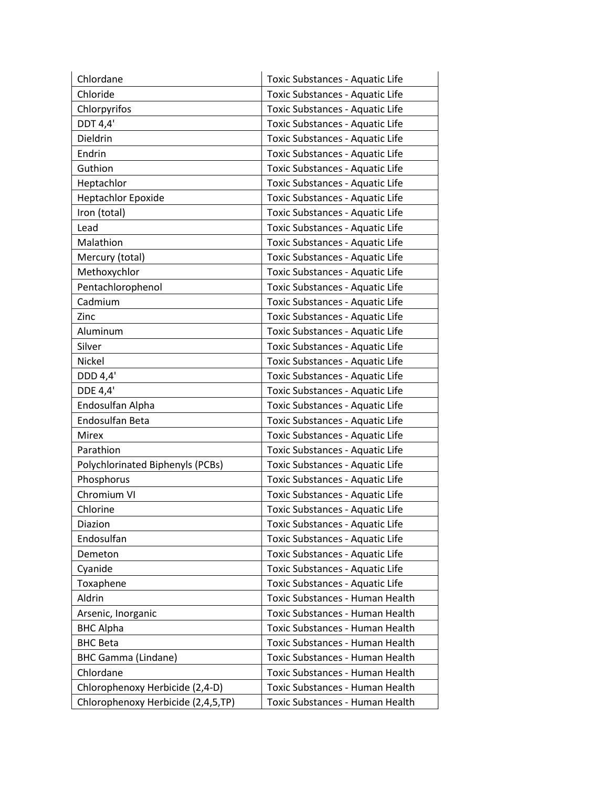| Chlordane                          | Toxic Substances - Aquatic Life |
|------------------------------------|---------------------------------|
| Chloride                           | Toxic Substances - Aquatic Life |
| Chlorpyrifos                       | Toxic Substances - Aquatic Life |
| DDT 4,4'                           | Toxic Substances - Aquatic Life |
| Dieldrin                           | Toxic Substances - Aquatic Life |
| Endrin                             | Toxic Substances - Aquatic Life |
| Guthion                            | Toxic Substances - Aquatic Life |
| Heptachlor                         | Toxic Substances - Aquatic Life |
| <b>Heptachlor Epoxide</b>          | Toxic Substances - Aquatic Life |
| Iron (total)                       | Toxic Substances - Aquatic Life |
| Lead                               | Toxic Substances - Aquatic Life |
| Malathion                          | Toxic Substances - Aquatic Life |
| Mercury (total)                    | Toxic Substances - Aquatic Life |
| Methoxychlor                       | Toxic Substances - Aquatic Life |
| Pentachlorophenol                  | Toxic Substances - Aquatic Life |
| Cadmium                            | Toxic Substances - Aquatic Life |
| Zinc                               | Toxic Substances - Aquatic Life |
| Aluminum                           | Toxic Substances - Aquatic Life |
| Silver                             | Toxic Substances - Aquatic Life |
| Nickel                             | Toxic Substances - Aquatic Life |
| DDD 4,4'                           | Toxic Substances - Aquatic Life |
| DDE 4,4'                           | Toxic Substances - Aquatic Life |
| Endosulfan Alpha                   | Toxic Substances - Aquatic Life |
| Endosulfan Beta                    | Toxic Substances - Aquatic Life |
| <b>Mirex</b>                       | Toxic Substances - Aquatic Life |
| Parathion                          | Toxic Substances - Aquatic Life |
| Polychlorinated Biphenyls (PCBs)   | Toxic Substances - Aquatic Life |
| Phosphorus                         | Toxic Substances - Aquatic Life |
| Chromium VI                        | Toxic Substances - Aquatic Life |
| Chlorine                           | Toxic Substances - Aquatic Life |
| Diazion                            | Toxic Substances - Aquatic Life |
| Endosulfan                         | Toxic Substances - Aquatic Life |
| Demeton                            | Toxic Substances - Aquatic Life |
| Cyanide                            | Toxic Substances - Aquatic Life |
| Toxaphene                          | Toxic Substances - Aquatic Life |
| Aldrin                             | Toxic Substances - Human Health |
| Arsenic, Inorganic                 | Toxic Substances - Human Health |
| <b>BHC Alpha</b>                   | Toxic Substances - Human Health |
| <b>BHC Beta</b>                    | Toxic Substances - Human Health |
| <b>BHC Gamma (Lindane)</b>         | Toxic Substances - Human Health |
| Chlordane                          | Toxic Substances - Human Health |
| Chlorophenoxy Herbicide (2,4-D)    | Toxic Substances - Human Health |
| Chlorophenoxy Herbicide (2,4,5,TP) | Toxic Substances - Human Health |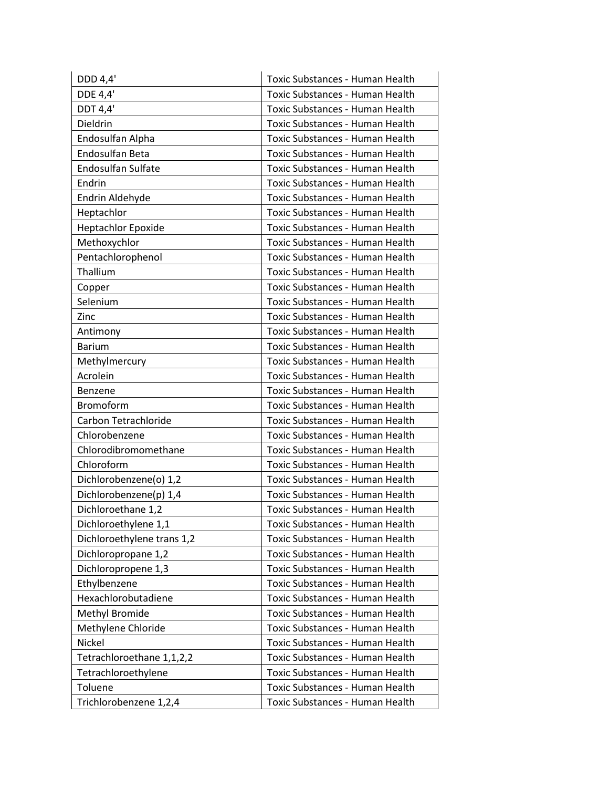| DDD 4,4'                   | Toxic Substances - Human Health        |
|----------------------------|----------------------------------------|
| DDE 4,4'                   | Toxic Substances - Human Health        |
| <b>DDT 4,4'</b>            | Toxic Substances - Human Health        |
| Dieldrin                   | Toxic Substances - Human Health        |
| Endosulfan Alpha           | Toxic Substances - Human Health        |
| Endosulfan Beta            | Toxic Substances - Human Health        |
| <b>Endosulfan Sulfate</b>  | Toxic Substances - Human Health        |
| Endrin                     | Toxic Substances - Human Health        |
| Endrin Aldehyde            | Toxic Substances - Human Health        |
| Heptachlor                 | Toxic Substances - Human Health        |
| <b>Heptachlor Epoxide</b>  | Toxic Substances - Human Health        |
| Methoxychlor               | Toxic Substances - Human Health        |
| Pentachlorophenol          | Toxic Substances - Human Health        |
| Thallium                   | Toxic Substances - Human Health        |
| Copper                     | Toxic Substances - Human Health        |
| Selenium                   | Toxic Substances - Human Health        |
| Zinc                       | Toxic Substances - Human Health        |
| Antimony                   | Toxic Substances - Human Health        |
| <b>Barium</b>              | Toxic Substances - Human Health        |
| Methylmercury              | Toxic Substances - Human Health        |
| Acrolein                   | Toxic Substances - Human Health        |
| Benzene                    | Toxic Substances - Human Health        |
| Bromoform                  | Toxic Substances - Human Health        |
| Carbon Tetrachloride       | Toxic Substances - Human Health        |
| Chlorobenzene              | Toxic Substances - Human Health        |
| Chlorodibromomethane       | Toxic Substances - Human Health        |
| Chloroform                 | Toxic Substances - Human Health        |
| Dichlorobenzene(o) 1,2     | Toxic Substances - Human Health        |
| Dichlorobenzene(p) 1,4     | Toxic Substances - Human Health        |
| Dichloroethane 1,2         | Toxic Substances - Human Health        |
| Dichloroethylene 1,1       | <b>Toxic Substances - Human Health</b> |
| Dichloroethylene trans 1,2 | Toxic Substances - Human Health        |
| Dichloropropane 1,2        | Toxic Substances - Human Health        |
| Dichloropropene 1,3        | Toxic Substances - Human Health        |
| Ethylbenzene               | Toxic Substances - Human Health        |
| Hexachlorobutadiene        | Toxic Substances - Human Health        |
| Methyl Bromide             | Toxic Substances - Human Health        |
| Methylene Chloride         | Toxic Substances - Human Health        |
| Nickel                     | Toxic Substances - Human Health        |
| Tetrachloroethane 1,1,2,2  | Toxic Substances - Human Health        |
| Tetrachloroethylene        | Toxic Substances - Human Health        |
| Toluene                    | Toxic Substances - Human Health        |
| Trichlorobenzene 1,2,4     | Toxic Substances - Human Health        |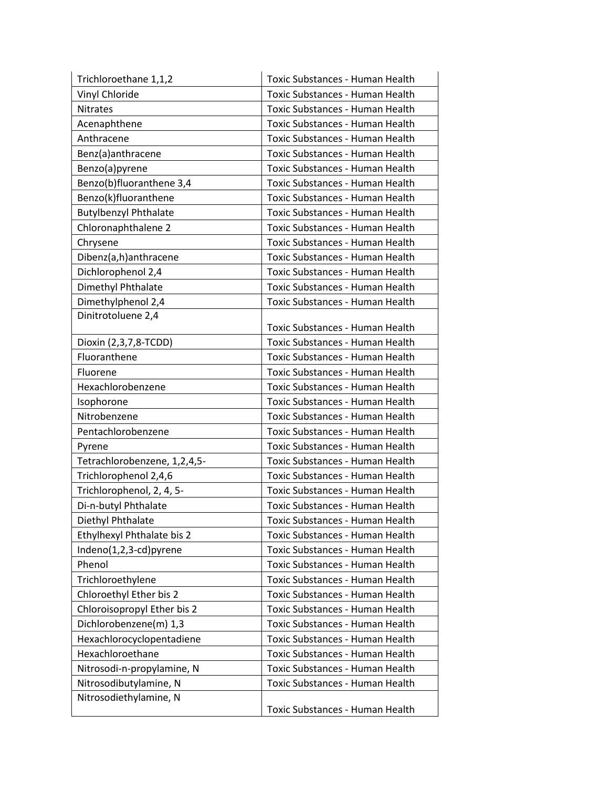| Trichloroethane 1,1,2        | Toxic Substances - Human Health        |
|------------------------------|----------------------------------------|
| Vinyl Chloride               | Toxic Substances - Human Health        |
| <b>Nitrates</b>              | Toxic Substances - Human Health        |
| Acenaphthene                 | Toxic Substances - Human Health        |
| Anthracene                   | Toxic Substances - Human Health        |
| Benz(a)anthracene            | Toxic Substances - Human Health        |
| Benzo(a)pyrene               | Toxic Substances - Human Health        |
| Benzo(b)fluoranthene 3,4     | Toxic Substances - Human Health        |
| Benzo(k)fluoranthene         | Toxic Substances - Human Health        |
| <b>Butylbenzyl Phthalate</b> | Toxic Substances - Human Health        |
| Chloronaphthalene 2          | Toxic Substances - Human Health        |
| Chrysene                     | Toxic Substances - Human Health        |
| Dibenz(a,h)anthracene        | Toxic Substances - Human Health        |
| Dichlorophenol 2,4           | Toxic Substances - Human Health        |
| Dimethyl Phthalate           | Toxic Substances - Human Health        |
| Dimethylphenol 2,4           | Toxic Substances - Human Health        |
| Dinitrotoluene 2,4           |                                        |
|                              | Toxic Substances - Human Health        |
| Dioxin (2,3,7,8-TCDD)        | Toxic Substances - Human Health        |
| Fluoranthene                 | Toxic Substances - Human Health        |
| Fluorene                     | Toxic Substances - Human Health        |
| Hexachlorobenzene            | Toxic Substances - Human Health        |
| Isophorone                   | Toxic Substances - Human Health        |
| Nitrobenzene                 | Toxic Substances - Human Health        |
| Pentachlorobenzene           | Toxic Substances - Human Health        |
| Pyrene                       | Toxic Substances - Human Health        |
| Tetrachlorobenzene, 1,2,4,5- | Toxic Substances - Human Health        |
| Trichlorophenol 2,4,6        | Toxic Substances - Human Health        |
| Trichlorophenol, 2, 4, 5-    | Toxic Substances - Human Health        |
| Di-n-butyl Phthalate         | Toxic Substances - Human Health        |
| Diethyl Phthalate            | Toxic Substances - Human Health        |
| Ethylhexyl Phthalate bis 2   | Toxic Substances - Human Health        |
| Indeno(1,2,3-cd)pyrene       | Toxic Substances - Human Health        |
| Phenol                       | Toxic Substances - Human Health        |
| Trichloroethylene            | Toxic Substances - Human Health        |
| Chloroethyl Ether bis 2      | Toxic Substances - Human Health        |
| Chloroisopropyl Ether bis 2  | Toxic Substances - Human Health        |
| Dichlorobenzene(m) 1,3       | <b>Toxic Substances - Human Health</b> |
| Hexachlorocyclopentadiene    | Toxic Substances - Human Health        |
| Hexachloroethane             | Toxic Substances - Human Health        |
| Nitrosodi-n-propylamine, N   | Toxic Substances - Human Health        |
| Nitrosodibutylamine, N       | Toxic Substances - Human Health        |
| Nitrosodiethylamine, N       |                                        |
|                              | Toxic Substances - Human Health        |